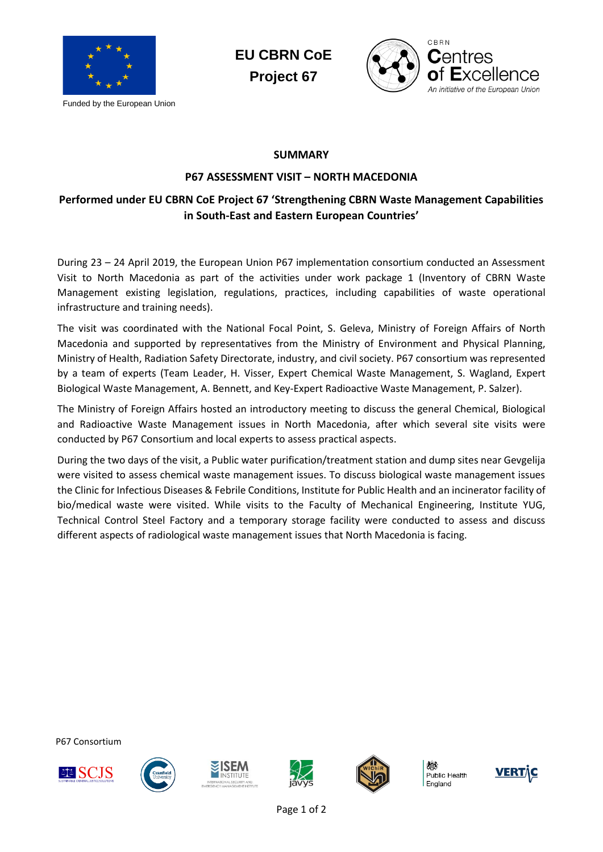

Funded by the European Union

**EU CBRN CoE Project 67**



## **SUMMARY**

## **P67 ASSESSMENT VISIT – NORTH MACEDONIA**

## **Performed under EU CBRN CoE Project 67 'Strengthening CBRN Waste Management Capabilities in South-East and Eastern European Countries'**

During 23 – 24 April 2019, the European Union P67 implementation consortium conducted an Assessment Visit to North Macedonia as part of the activities under work package 1 (Inventory of CBRN Waste Management existing legislation, regulations, practices, including capabilities of waste operational infrastructure and training needs).

The visit was coordinated with the National Focal Point, S. Geleva, Ministry of Foreign Affairs of North Macedonia and supported by representatives from the Ministry of Environment and Physical Planning, Ministry of Health, Radiation Safety Directorate, industry, and civil society. P67 consortium was represented by a team of experts (Team Leader, H. Visser, Expert Chemical Waste Management, S. Wagland, Expert Biological Waste Management, A. Bennett, and Key-Expert Radioactive Waste Management, P. Salzer).

The Ministry of Foreign Affairs hosted an introductory meeting to discuss the general Chemical, Biological and Radioactive Waste Management issues in North Macedonia, after which several site visits were conducted by P67 Consortium and local experts to assess practical aspects.

During the two days of the visit, a Public water purification/treatment station and dump sites near Gevgelija were visited to assess chemical waste management issues. To discuss biological waste management issues the Clinic for Infectious Diseases & Febrile Conditions, Institute for Public Health and an incinerator facility of bio/medical waste were visited. While visits to the Faculty of Mechanical Engineering, Institute YUG, Technical Control Steel Factory and a temporary storage facility were conducted to assess and discuss different aspects of radiological waste management issues that North Macedonia is facing.

P67 Consortium











Public Health England